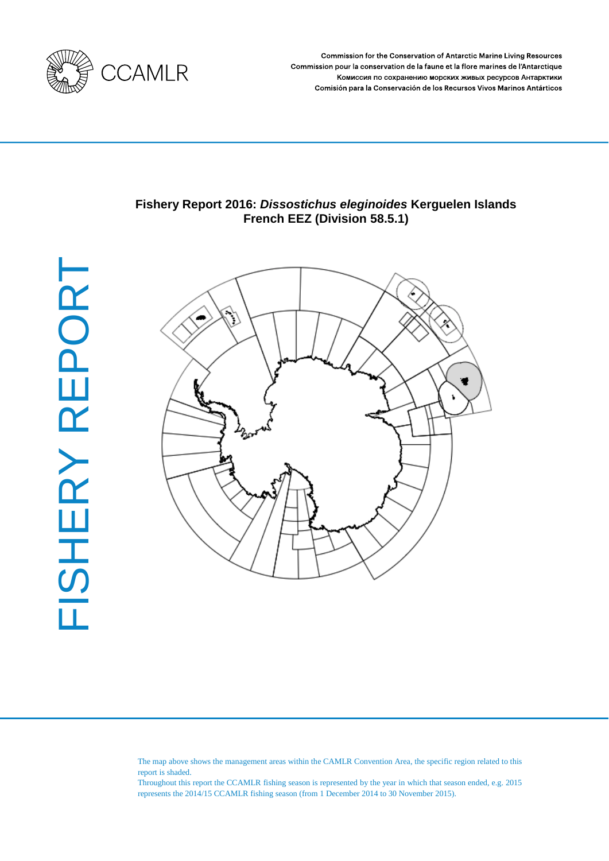

**Commission for the Conservation of Antarctic Marine Living Resources** Commission pour la conservation de la faune et la flore marines de l'Antarctique Комиссия по сохранению морских живых ресурсов Антарктики Comisión para la Conservación de los Recursos Vivos Marinos Antárticos

# **Fishery Report 2016:** *Dissostichus eleginoides* **Kerguelen Islands French EEZ (Division 58.5.1)**



The map above shows the management areas within the CAMLR Convention Area, the specific region related to this report is shaded.

Throughout this report the CCAMLR fishing season is represented by the year in which that season ended, e.g. 2015 represents the 2014/15 CCAMLR fishing season (from 1 December 2014 to 30 November 2015).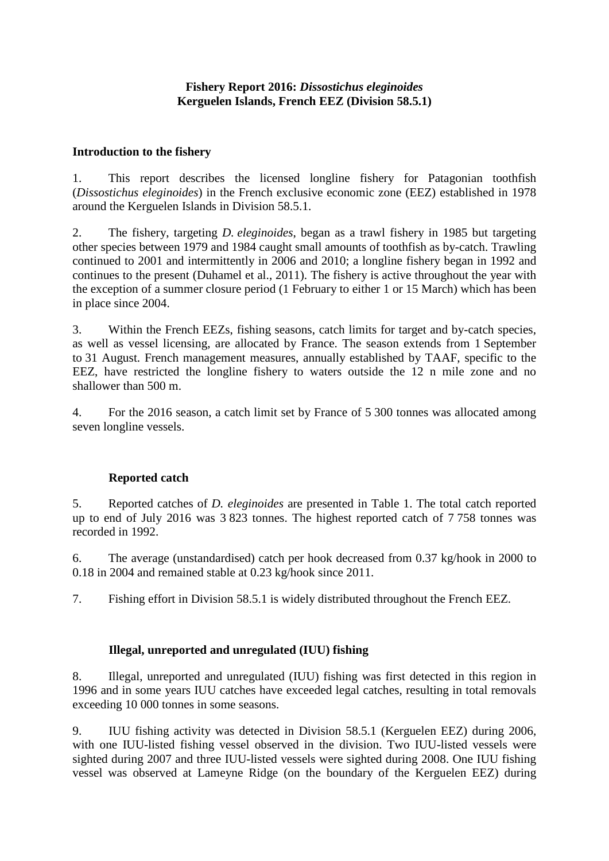## **Fishery Report 2016:** *Dissostichus eleginoides* **Kerguelen Islands, French EEZ (Division 58.5.1)**

## **Introduction to the fishery**

1. This report describes the licensed longline fishery for Patagonian toothfish (*Dissostichus eleginoides*) in the French exclusive economic zone (EEZ) established in 1978 around the Kerguelen Islands in Division 58.5.1.

2. The fishery, targeting *D. eleginoides*, began as a trawl fishery in 1985 but targeting other species between 1979 and 1984 caught small amounts of toothfish as by-catch. Trawling continued to 2001 and intermittently in 2006 and 2010; a longline fishery began in 1992 and continues to the present (Duhamel et al., 2011). The fishery is active throughout the year with the exception of a summer closure period (1 February to either 1 or 15 March) which has been in place since 2004.

3. Within the French EEZs, fishing seasons, catch limits for target and by-catch species, as well as vessel licensing, are allocated by France. The season extends from 1 September to 31 August. French management measures, annually established by TAAF, specific to the EEZ, have restricted the longline fishery to waters outside the 12 n mile zone and no shallower than 500 m.

4. For the 2016 season, a catch limit set by France of 5 300 tonnes was allocated among seven longline vessels.

# **Reported catch**

5. Reported catches of *D. eleginoides* are presented in Table 1. The total catch reported up to end of July 2016 was 3 823 tonnes. The highest reported catch of 7 758 tonnes was recorded in 1992.

6. The average (unstandardised) catch per hook decreased from 0.37 kg/hook in 2000 to 0.18 in 2004 and remained stable at 0.23 kg/hook since 2011.

7. Fishing effort in Division 58.5.1 is widely distributed throughout the French EEZ.

### **Illegal, unreported and unregulated (IUU) fishing**

8. Illegal, unreported and unregulated (IUU) fishing was first detected in this region in 1996 and in some years IUU catches have exceeded legal catches, resulting in total removals exceeding 10 000 tonnes in some seasons.

9. IUU fishing activity was detected in Division 58.5.1 (Kerguelen EEZ) during 2006, with one IUU-listed fishing vessel observed in the division. Two IUU-listed vessels were sighted during 2007 and three IUU-listed vessels were sighted during 2008. One IUU fishing vessel was observed at Lameyne Ridge (on the boundary of the Kerguelen EEZ) during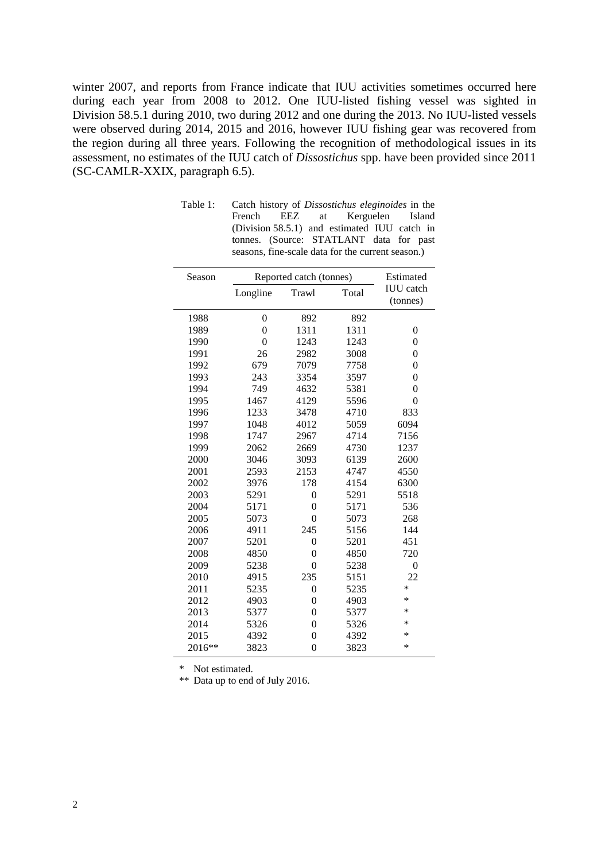winter 2007, and reports from France indicate that IUU activities sometimes occurred here during each year from 2008 to 2012. One IUU-listed fishing vessel was sighted in Division 58.5.1 during 2010, two during 2012 and one during the 2013. No IUU-listed vessels were observed during 2014, 2015 and 2016, however IUU fishing gear was recovered from the region during all three years. Following the recognition of methodological issues in its assessment, no estimates of the IUU catch of *Dissostichus* spp. have been provided since 2011 (SC-CAMLR-XXIX, paragraph 6.5).

| Season | Reported catch (tonnes) | Estimated      |       |                              |
|--------|-------------------------|----------------|-------|------------------------------|
|        | Longline                | Trawl          | Total | <b>IUU</b> catch<br>(tonnes) |
| 1988   | $\overline{0}$          | 892            | 892   |                              |
| 1989   | 0                       | 1311           | 1311  | $\overline{0}$               |
| 1990   | $\theta$                | 1243           | 1243  | $\overline{0}$               |
| 1991   | 26                      | 2982           | 3008  | $\overline{0}$               |
| 1992   | 679                     | 7079           | 7758  | $\overline{0}$               |
| 1993   | 243                     | 3354           | 3597  | $\overline{0}$               |
| 1994   | 749                     | 4632           | 5381  | $\overline{0}$               |
| 1995   | 1467                    | 4129           | 5596  | $\overline{0}$               |
| 1996   | 1233                    | 3478           | 4710  | 833                          |
| 1997   | 1048                    | 4012           | 5059  | 6094                         |
| 1998   | 1747                    | 2967           | 4714  | 7156                         |
| 1999   | 2062                    | 2669           | 4730  | 1237                         |
| 2000   | 3046                    | 3093           | 6139  | 2600                         |
| 2001   | 2593                    | 2153           | 4747  | 4550                         |
| 2002   | 3976                    | 178            | 4154  | 6300                         |
| 2003   | 5291                    | $\overline{0}$ | 5291  | 5518                         |
| 2004   | 5171                    | 0              | 5171  | 536                          |
| 2005   | 5073                    | 0              | 5073  | 268                          |
| 2006   | 4911                    | 245            | 5156  | 144                          |
| 2007   | 5201                    | 0              | 5201  | 451                          |
| 2008   | 4850                    | $\overline{0}$ | 4850  | 720                          |
| 2009   | 5238                    | $\theta$       | 5238  | $\overline{0}$               |
| 2010   | 4915                    | 235            | 5151  | 22                           |
| 2011   | 5235                    | $\overline{0}$ | 5235  | *                            |
| 2012   | 4903                    | 0              | 4903  | *                            |
| 2013   | 5377                    | 0              | 5377  | ∗                            |
| 2014   | 5326                    | 0              | 5326  | ∗                            |
| 2015   | 4392                    | 0              | 4392  | ∗                            |
| 2016** | 3823                    | $\overline{0}$ | 3823  | ∗                            |

| Table 1: | Catch history of <i>Dissostichus eleginoides</i> in the |  |  |                                                   |  |  |  |
|----------|---------------------------------------------------------|--|--|---------------------------------------------------|--|--|--|
|          |                                                         |  |  | French EEZ at Kerguelen Island                    |  |  |  |
|          |                                                         |  |  | (Division 58.5.1) and estimated IUU catch in      |  |  |  |
|          |                                                         |  |  | tonnes. (Source: STATLANT data for past           |  |  |  |
|          |                                                         |  |  | seasons, fine-scale data for the current season.) |  |  |  |

\* Not estimated.

\*\* Data up to end of July 2016.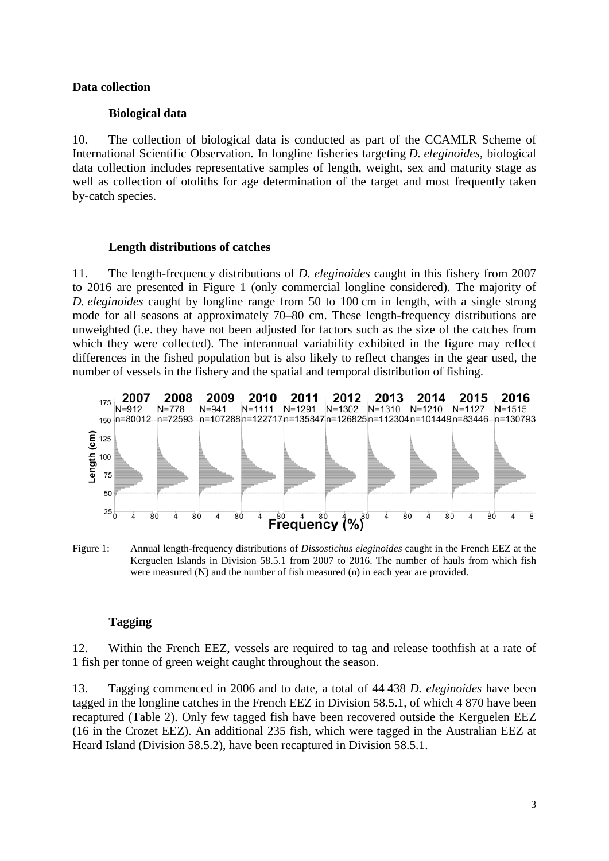### **Data collection**

#### **Biological data**

10. The collection of biological data is conducted as part of the CCAMLR Scheme of International Scientific Observation. In longline fisheries targeting *D. eleginoides*, biological data collection includes representative samples of length, weight, sex and maturity stage as well as collection of otoliths for age determination of the target and most frequently taken by-catch species.

#### **Length distributions of catches**

11. The length-frequency distributions of *D. eleginoides* caught in this fishery from 2007 to 2016 are presented in Figure 1 (only commercial longline considered). The majority of *D. eleginoides* caught by longline range from 50 to 100 cm in length, with a single strong mode for all seasons at approximately 70–80 cm. These length-frequency distributions are unweighted (i.e. they have not been adjusted for factors such as the size of the catches from which they were collected). The interannual variability exhibited in the figure may reflect differences in the fished population but is also likely to reflect changes in the gear used, the number of vessels in the fishery and the spatial and temporal distribution of fishing.



Figure 1: Annual length-frequency distributions of *Dissostichus eleginoides* caught in the French EEZ at the Kerguelen Islands in Division 58.5.1 from 2007 to 2016. The number of hauls from which fish were measured (N) and the number of fish measured (n) in each year are provided.

### **Tagging**

12. Within the French EEZ, vessels are required to tag and release toothfish at a rate of 1 fish per tonne of green weight caught throughout the season.

13. Tagging commenced in 2006 and to date, a total of 44 438 *D. eleginoides* have been tagged in the longline catches in the French EEZ in Division 58.5.1, of which 4 870 have been recaptured (Table 2). Only few tagged fish have been recovered outside the Kerguelen EEZ (16 in the Crozet EEZ). An additional 235 fish, which were tagged in the Australian EEZ at Heard Island (Division 58.5.2), have been recaptured in Division 58.5.1.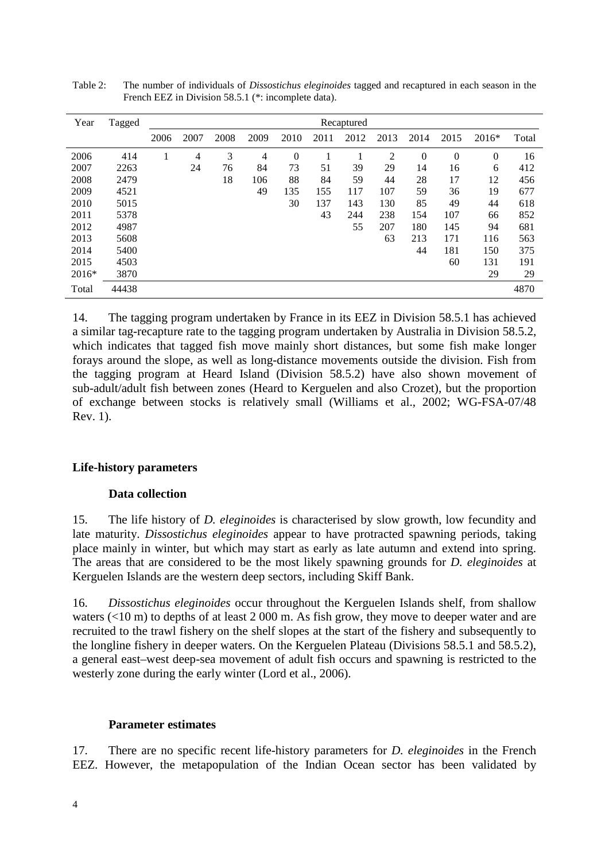| Year  | Tagged | Recaptured |      |      |                |          |      |      |      |                |          |         |       |
|-------|--------|------------|------|------|----------------|----------|------|------|------|----------------|----------|---------|-------|
|       |        | 2006       | 2007 | 2008 | 2009           | 2010     | 2011 | 2012 | 2013 | 2014           | 2015     | $2016*$ | Total |
| 2006  | 414    |            | 4    | 3    | $\overline{4}$ | $\theta$ |      |      | 2    | $\overline{0}$ | $\theta$ | 0       | 16    |
| 2007  | 2263   |            | 24   | 76   | 84             | 73       | 51   | 39   | 29   | 14             | 16       | 6       | 412   |
| 2008  | 2479   |            |      | 18   | 106            | 88       | 84   | 59   | 44   | 28             | 17       | 12      | 456   |
| 2009  | 4521   |            |      |      | 49             | 135      | 155  | 117  | 107  | 59             | 36       | 19      | 677   |
| 2010  | 5015   |            |      |      |                | 30       | 137  | 143  | 130  | 85             | 49       | 44      | 618   |
| 2011  | 5378   |            |      |      |                |          | 43   | 244  | 238  | 154            | 107      | 66      | 852   |
| 2012  | 4987   |            |      |      |                |          |      | 55   | 207  | 180            | 145      | 94      | 681   |
| 2013  | 5608   |            |      |      |                |          |      |      | 63   | 213            | 171      | 116     | 563   |
| 2014  | 5400   |            |      |      |                |          |      |      |      | 44             | 181      | 150     | 375   |
| 2015  | 4503   |            |      |      |                |          |      |      |      |                | 60       | 131     | 191   |
| 2016* | 3870   |            |      |      |                |          |      |      |      |                |          | 29      | 29    |
| Total | 44438  |            |      |      |                |          |      |      |      |                |          |         | 4870  |

Table 2: The number of individuals of *Dissostichus eleginoides* tagged and recaptured in each season in the French EEZ in Division 58.5.1 (\*: incomplete data).

14. The tagging program undertaken by France in its EEZ in Division 58.5.1 has achieved a similar tag-recapture rate to the tagging program undertaken by Australia in Division 58.5.2, which indicates that tagged fish move mainly short distances, but some fish make longer forays around the slope, as well as long-distance movements outside the division. Fish from the tagging program at Heard Island (Division 58.5.2) have also shown movement of sub-adult/adult fish between zones (Heard to Kerguelen and also Crozet), but the proportion of exchange between stocks is relatively small (Williams et al., 2002; WG-FSA-07/48 Rev. 1).

# **Life-history parameters**

### **Data collection**

15. The life history of *D. eleginoides* is characterised by slow growth, low fecundity and late maturity. *Dissostichus eleginoides* appear to have protracted spawning periods, taking place mainly in winter, but which may start as early as late autumn and extend into spring. The areas that are considered to be the most likely spawning grounds for *D. eleginoides* at Kerguelen Islands are the western deep sectors, including Skiff Bank.

16. *Dissostichus eleginoides* occur throughout the Kerguelen Islands shelf, from shallow waters (<10 m) to depths of at least 2 000 m. As fish grow, they move to deeper water and are recruited to the trawl fishery on the shelf slopes at the start of the fishery and subsequently to the longline fishery in deeper waters. On the Kerguelen Plateau (Divisions 58.5.1 and 58.5.2), a general east–west deep-sea movement of adult fish occurs and spawning is restricted to the westerly zone during the early winter (Lord et al., 2006).

# **Parameter estimates**

17. There are no specific recent life-history parameters for *D. eleginoides* in the French EEZ. However, the metapopulation of the Indian Ocean sector has been validated by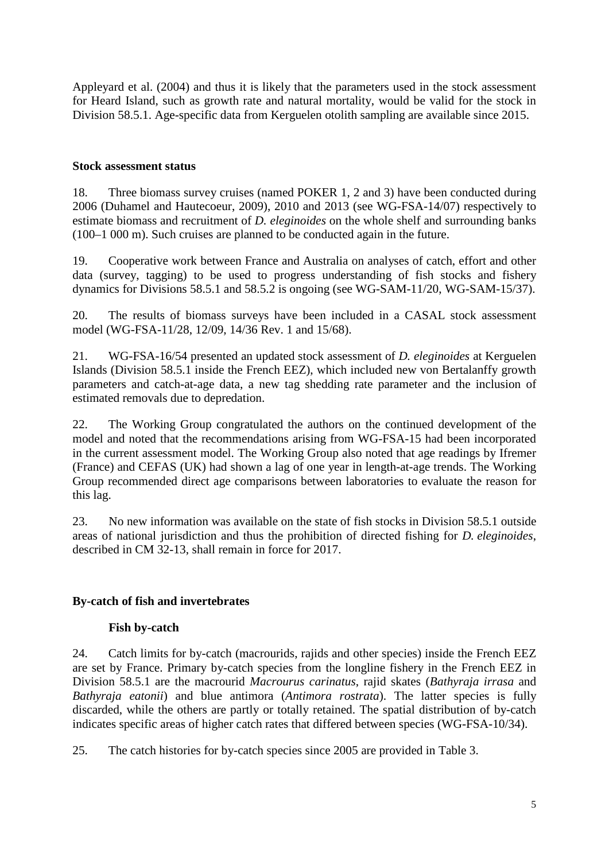Appleyard et al. (2004) and thus it is likely that the parameters used in the stock assessment for Heard Island, such as growth rate and natural mortality, would be valid for the stock in Division 58.5.1. Age-specific data from Kerguelen otolith sampling are available since 2015.

## **Stock assessment status**

18. Three biomass survey cruises (named POKER 1, 2 and 3) have been conducted during 2006 (Duhamel and Hautecoeur, 2009), 2010 and 2013 (see WG-FSA-14/07) respectively to estimate biomass and recruitment of *D. eleginoides* on the whole shelf and surrounding banks (100–1 000 m). Such cruises are planned to be conducted again in the future.

19. Cooperative work between France and Australia on analyses of catch, effort and other data (survey, tagging) to be used to progress understanding of fish stocks and fishery dynamics for Divisions 58.5.1 and 58.5.2 is ongoing (see WG-SAM-11/20, WG-SAM-15/37).

20. The results of biomass surveys have been included in a CASAL stock assessment model (WG-FSA-11/28, 12/09, 14/36 Rev. 1 and 15/68).

21. WG-FSA-16/54 presented an updated stock assessment of *D. eleginoides* at Kerguelen Islands (Division 58.5.1 inside the French EEZ), which included new von Bertalanffy growth parameters and catch-at-age data, a new tag shedding rate parameter and the inclusion of estimated removals due to depredation.

22. The Working Group congratulated the authors on the continued development of the model and noted that the recommendations arising from WG-FSA-15 had been incorporated in the current assessment model. The Working Group also noted that age readings by Ifremer (France) and CEFAS (UK) had shown a lag of one year in length-at-age trends. The Working Group recommended direct age comparisons between laboratories to evaluate the reason for this lag.

23. No new information was available on the state of fish stocks in Division 58.5.1 outside areas of national jurisdiction and thus the prohibition of directed fishing for *D. eleginoides*, described in CM 32-13, shall remain in force for 2017.

# **By-catch of fish and invertebrates**

# **Fish by-catch**

24. Catch limits for by-catch (macrourids, rajids and other species) inside the French EEZ are set by France. Primary by-catch species from the longline fishery in the French EEZ in Division 58.5.1 are the macrourid *Macrourus carinatus*, rajid skates (*Bathyraja irrasa* and *Bathyraja eatonii*) and blue antimora (*Antimora rostrata*). The latter species is fully discarded, while the others are partly or totally retained. The spatial distribution of by-catch indicates specific areas of higher catch rates that differed between species (WG-FSA-10/34).

25. The catch histories for by-catch species since 2005 are provided in Table 3.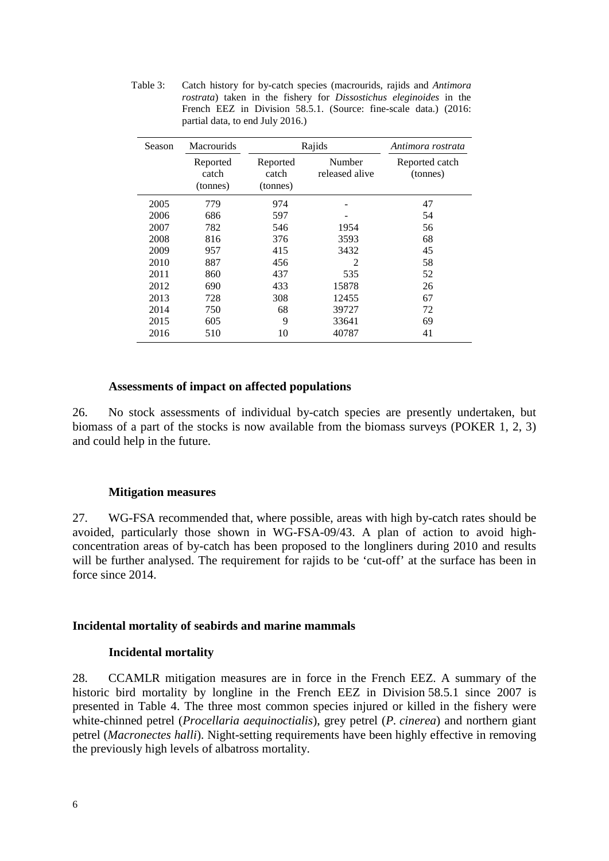Table 3: Catch history for by-catch species (macrourids, rajids and *Antimora rostrata*) taken in the fishery for *Dissostichus eleginoides* in the French EEZ in Division 58.5.1. (Source: fine-scale data.) (2016: partial data, to end July 2016.)

| Season | <b>Macrourids</b>             |                               | Rajids                   | Antimora rostrata          |  |
|--------|-------------------------------|-------------------------------|--------------------------|----------------------------|--|
|        | Reported<br>catch<br>(tonnes) | Reported<br>catch<br>(tonnes) | Number<br>released alive | Reported catch<br>(tonnes) |  |
| 2005   | 779                           | 974                           |                          | 47                         |  |
| 2006   | 686                           | 597                           |                          | 54                         |  |
| 2007   | 782                           | 546                           | 1954                     | 56                         |  |
| 2008   | 816                           | 376                           | 3593                     | 68                         |  |
| 2009   | 957                           | 415                           | 3432                     | 45                         |  |
| 2010   | 887                           | 456                           | $\mathfrak{D}$           | 58                         |  |
| 2011   | 860                           | 437                           | 535                      | 52                         |  |
| 2012   | 690                           | 433                           | 15878                    | 26                         |  |
| 2013   | 728                           | 308                           | 12455                    | 67                         |  |
| 2014   | 750                           | 68                            | 39727                    | 72                         |  |
| 2015   | 605                           | 9                             | 33641                    | 69                         |  |
| 2016   | 510                           | 10                            | 40787                    | 41                         |  |

#### **Assessments of impact on affected populations**

26. No stock assessments of individual by-catch species are presently undertaken, but biomass of a part of the stocks is now available from the biomass surveys (POKER 1, 2, 3) and could help in the future.

#### **Mitigation measures**

27. WG-FSA recommended that, where possible, areas with high by-catch rates should be avoided, particularly those shown in WG-FSA-09/43. A plan of action to avoid highconcentration areas of by-catch has been proposed to the longliners during 2010 and results will be further analysed. The requirement for rajids to be 'cut-off' at the surface has been in force since 2014.

#### **Incidental mortality of seabirds and marine mammals**

#### **Incidental mortality**

28. CCAMLR mitigation measures are in force in the French EEZ. A summary of the historic bird mortality by longline in the French EEZ in Division 58.5.1 since 2007 is presented in Table 4. The three most common species injured or killed in the fishery were white-chinned petrel (*Procellaria aequinoctialis*), grey petrel (*P. cinerea*) and northern giant petrel (*Macronectes halli*). Night-setting requirements have been highly effective in removing the previously high levels of albatross mortality.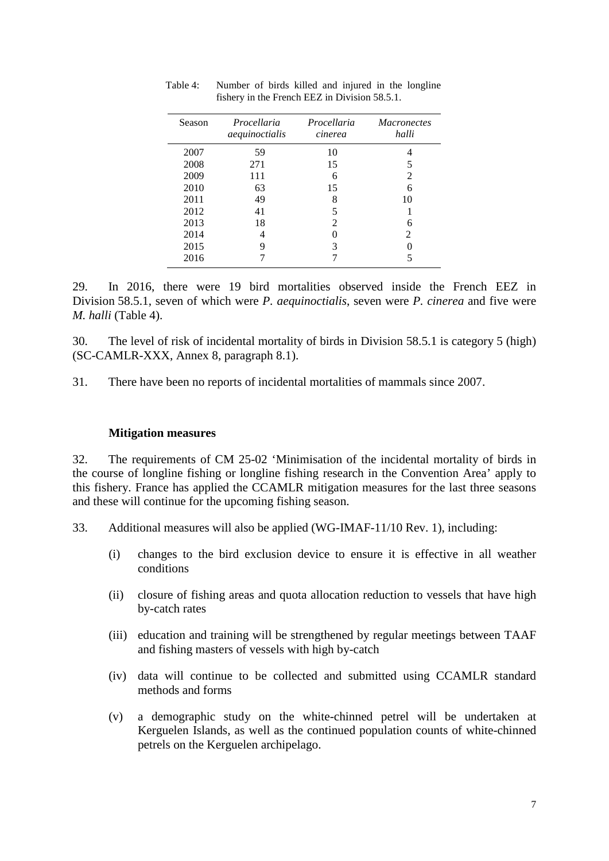| Season | Procellaria<br>aequinoctialis | Procellaria<br>cinerea | <i>Macronectes</i><br>halli |
|--------|-------------------------------|------------------------|-----------------------------|
| 2007   | 59                            | 10                     |                             |
| 2008   | 271                           | 15                     |                             |
| 2009   | 111                           | 6                      | $\mathcal{D}_{\mathcal{L}}$ |
| 2010   | 63                            | 15                     | 6                           |
| 2011   | 49                            | 8                      | 10                          |
| 2012   | 41                            |                        |                             |
| 2013   | 18                            | 2                      | 6                           |
| 2014   |                               |                        | 2                           |
| 2015   | 9                             | 3                      |                             |
| 2016   |                               |                        |                             |

Table 4: Number of birds killed and injured in the longline fishery in the French EEZ in Division 58.5.1.

29. In 2016, there were 19 bird mortalities observed inside the French EEZ in Division 58.5.1, seven of which were *P. aequinoctialis*, seven were *P. cinerea* and five were *M. halli* (Table 4).

30. The level of risk of incidental mortality of birds in Division 58.5.1 is category 5 (high) (SC-CAMLR-XXX, Annex 8, paragraph 8.1).

31. There have been no reports of incidental mortalities of mammals since 2007.

#### **Mitigation measures**

32. The requirements of CM 25-02 'Minimisation of the incidental mortality of birds in the course of longline fishing or longline fishing research in the Convention Area' apply to this fishery. France has applied the CCAMLR mitigation measures for the last three seasons and these will continue for the upcoming fishing season.

- 33. Additional measures will also be applied (WG-IMAF-11/10 Rev. 1), including:
	- (i) changes to the bird exclusion device to ensure it is effective in all weather conditions
	- (ii) closure of fishing areas and quota allocation reduction to vessels that have high by-catch rates
	- (iii) education and training will be strengthened by regular meetings between TAAF and fishing masters of vessels with high by-catch
	- (iv) data will continue to be collected and submitted using CCAMLR standard methods and forms
	- (v) a demographic study on the white-chinned petrel will be undertaken at Kerguelen Islands, as well as the continued population counts of white-chinned petrels on the Kerguelen archipelago.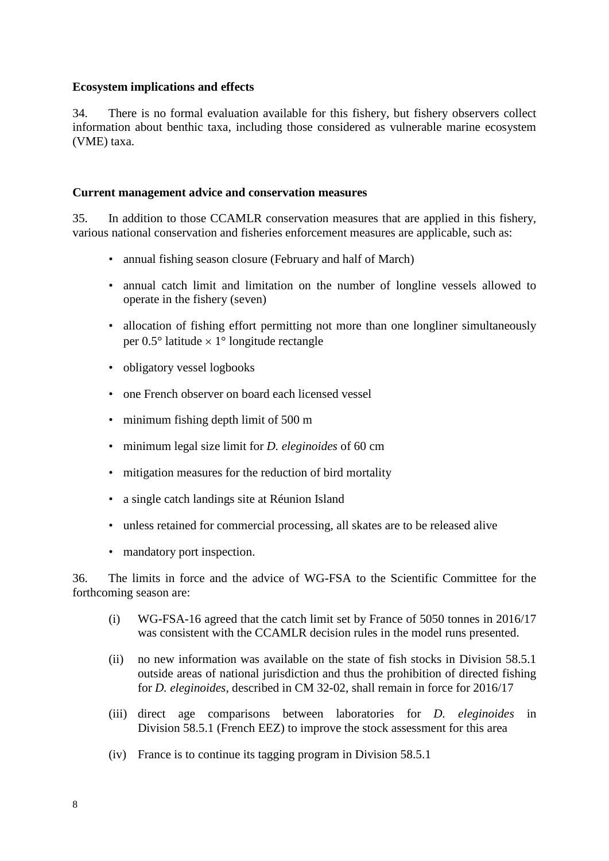## **Ecosystem implications and effects**

34. There is no formal evaluation available for this fishery, but fishery observers collect information about benthic taxa, including those considered as vulnerable marine ecosystem (VME) taxa.

## **Current management advice and conservation measures**

35. In addition to those CCAMLR conservation measures that are applied in this fishery, various national conservation and fisheries enforcement measures are applicable, such as:

- annual fishing season closure (February and half of March)
- annual catch limit and limitation on the number of longline vessels allowed to operate in the fishery (seven)
- allocation of fishing effort permitting not more than one longliner simultaneously per  $0.5^{\circ}$  latitude  $\times$  1° longitude rectangle
- obligatory vessel logbooks
- one French observer on board each licensed vessel
- minimum fishing depth limit of 500 m
- minimum legal size limit for *D. eleginoides* of 60 cm
- mitigation measures for the reduction of bird mortality
- a single catch landings site at Réunion Island
- unless retained for commercial processing, all skates are to be released alive
- mandatory port inspection.

36. The limits in force and the advice of WG-FSA to the Scientific Committee for the forthcoming season are:

- (i) WG-FSA-16 agreed that the catch limit set by France of 5050 tonnes in 2016/17 was consistent with the CCAMLR decision rules in the model runs presented.
- (ii) no new information was available on the state of fish stocks in Division 58.5.1 outside areas of national jurisdiction and thus the prohibition of directed fishing for *D. eleginoides*, described in CM 32-02, shall remain in force for 2016/17
- (iii) direct age comparisons between laboratories for *D. eleginoides* in Division 58.5.1 (French EEZ) to improve the stock assessment for this area
- (iv) France is to continue its tagging program in Division 58.5.1